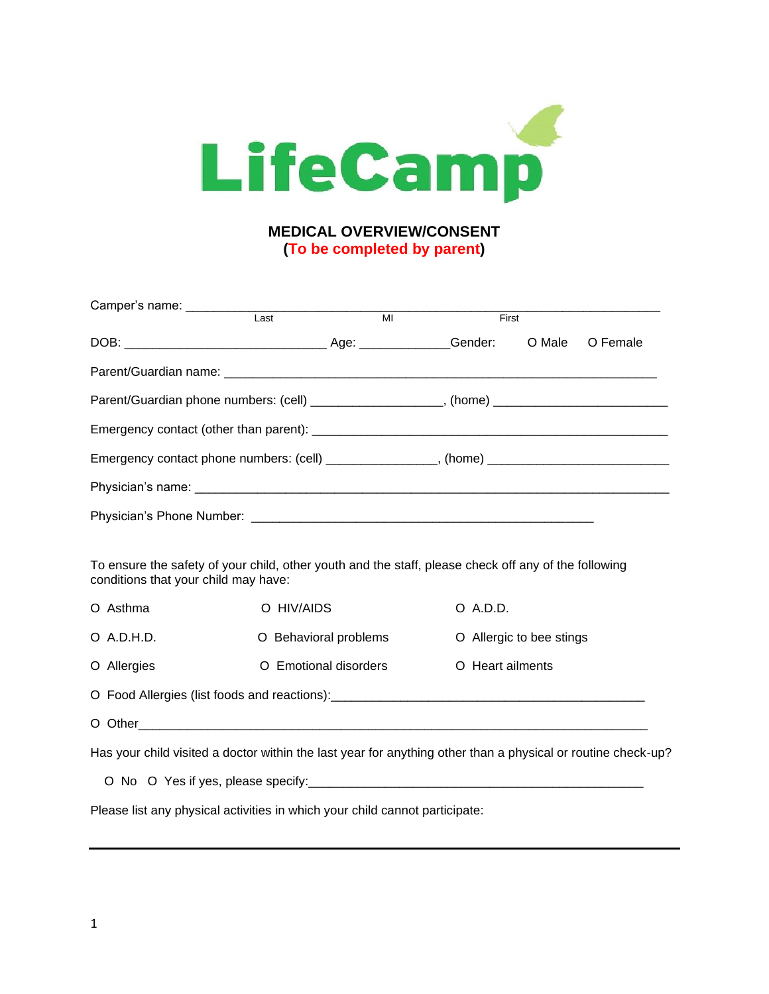

## **(To be completed by parent)**

| Camper's name: ____________          |                                                                                                              |                          |          |
|--------------------------------------|--------------------------------------------------------------------------------------------------------------|--------------------------|----------|
|                                      | $\overline{Last}$<br>$\overline{M}$                                                                          | First                    |          |
|                                      |                                                                                                              | O Male                   | O Female |
|                                      |                                                                                                              |                          |          |
|                                      | Parent/Guardian phone numbers: (cell) ____________________, (home) _________________________________         |                          |          |
|                                      |                                                                                                              |                          |          |
|                                      | Emergency contact phone numbers: (cell) ________________, (home) ___________________________________         |                          |          |
|                                      |                                                                                                              |                          |          |
|                                      |                                                                                                              |                          |          |
| conditions that your child may have: | To ensure the safety of your child, other youth and the staff, please check off any of the following         |                          |          |
| O Asthma                             | O HIV/AIDS                                                                                                   | O A.D.D.                 |          |
| $O$ A.D.H.D.                         | O Behavioral problems                                                                                        | O Allergic to bee stings |          |
| O Allergies                          | O Emotional disorders                                                                                        | O Heart ailments         |          |
|                                      |                                                                                                              |                          |          |
|                                      |                                                                                                              |                          |          |
|                                      | Has your child visited a doctor within the last year for anything other than a physical or routine check-up? |                          |          |
|                                      |                                                                                                              |                          |          |
|                                      | Please list any physical activities in which your child cannot participate:                                  |                          |          |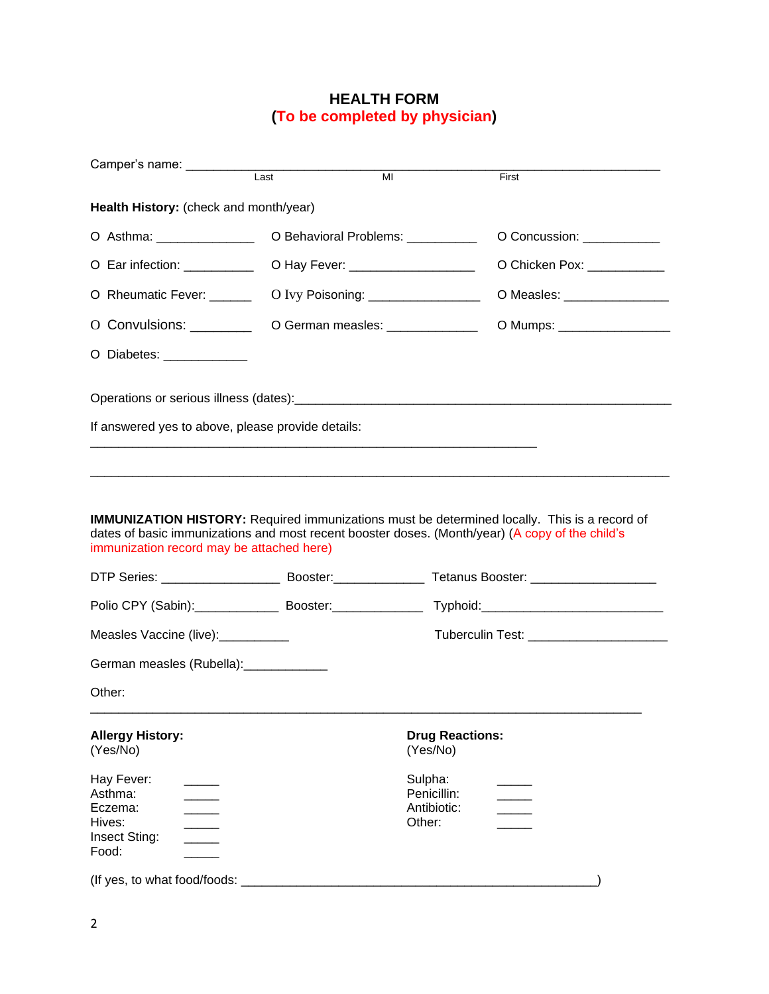## **HEALTH FORM (To be completed by physician)**

| Camper's name:                                                       | Last | MI                                              | First                        |
|----------------------------------------------------------------------|------|-------------------------------------------------|------------------------------|
| Health History: (check and month/year)                               |      |                                                 |                              |
| O Asthma: _______________                                            |      | O Behavioral Problems: __________               | O Concussion: ___________    |
| O Ear infection: __________                                          |      | O Hay Fever: _____________________              | O Chicken Pox: ___________   |
| O Rheumatic Fever: ______                                            |      | O Ivy Poisoning: __________________             | O Measles: _________________ |
| O Convulsions: ________                                              |      | O German measles: ______________                | O Mumps: __________________  |
| O Diabetes: _____________                                            |      |                                                 |                              |
|                                                                      |      |                                                 |                              |
| If answered yes to above, please provide details:                    |      |                                                 |                              |
|                                                                      |      |                                                 |                              |
| immunization record may be attached here)                            |      |                                                 |                              |
|                                                                      |      |                                                 |                              |
| Measles Vaccine (live):___________                                   |      |                                                 |                              |
| German measles (Rubella): _____________                              |      |                                                 |                              |
| Other:                                                               |      |                                                 |                              |
| <b>Allergy History:</b><br>(Yes/No)                                  |      | (Yes/No)                                        | <b>Drug Reactions:</b>       |
| Hay Fever:<br>Asthma:<br>Eczema:<br>Hives:<br>Insect Sting:<br>Food: |      | Sulpha:<br>Penicillin:<br>Antibiotic:<br>Other: |                              |
| (If yes, to what food/foods:                                         |      |                                                 |                              |